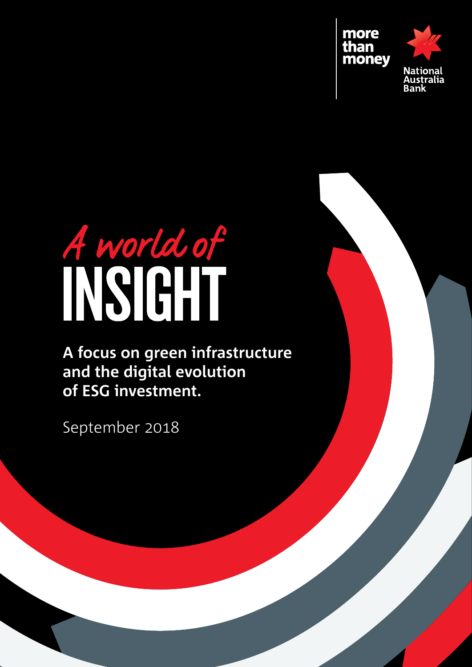

# A world of

**A focus on green infrastructure and the digital evolution of ESG investment.**

September 2018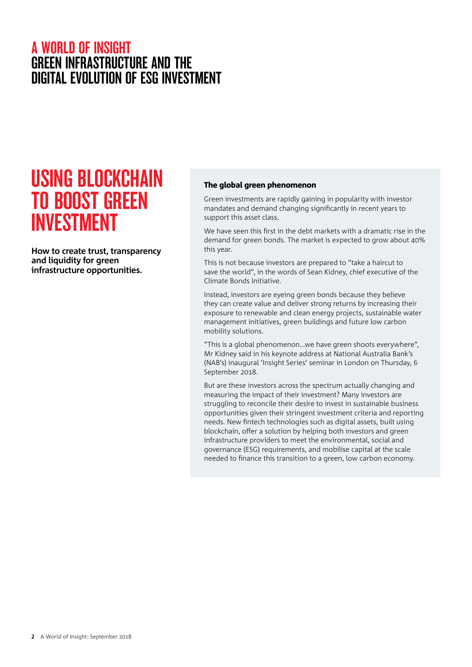# Using Blockchain to boost green investment

**How to create trust, transparency and liquidity for green infrastructure opportunities.**

### The global green phenomenon

Green investments are rapidly gaining in popularity with investor mandates and demand changing significantly in recent years to support this asset class.

We have seen this first in the debt markets with a dramatic rise in the demand for green bonds. The market is expected to grow about 40% this year.

This is not because investors are prepared to "take a haircut to save the world", in the words of Sean Kidney, chief executive of the Climate Bonds Initiative.

Instead, investors are eyeing green bonds because they believe they can create value and deliver strong returns by increasing their exposure to renewable and clean energy projects, sustainable water management initiatives, green buildings and future low carbon mobility solutions.

"This is a global phenomenon…we have green shoots everywhere", Mr Kidney said in his keynote address at National Australia Bank's (NAB's) inaugural 'Insight Series' seminar in London on Thursday, 6 September 2018.

But are these investors across the spectrum actually changing and measuring the impact of their investment? Many investors are struggling to reconcile their desire to invest in sustainable business opportunities given their stringent investment criteria and reporting needs. New fintech technologies such as digital assets, built using blockchain, offer a solution by helping both investors and green infrastructure providers to meet the environmental, social and governance (ESG) requirements, and mobilise capital at the scale needed to finance this transition to a green, low carbon economy.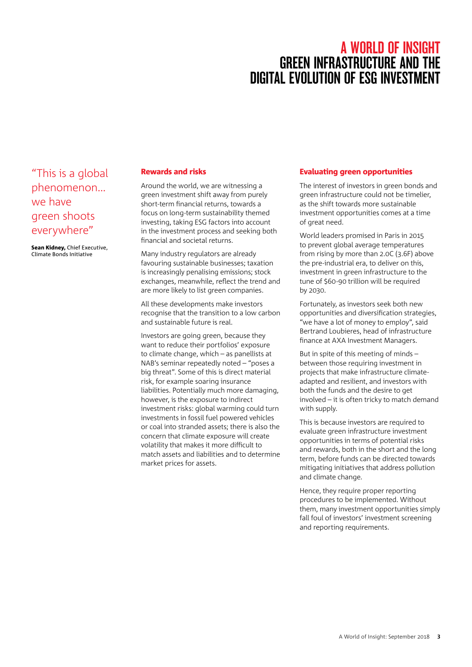"This is a global phenomenon… we have green shoots everywhere"

Sean Kidney, Chief Executive, Climate Bonds Initiative

### Rewards and risks

Around the world, we are witnessing a green investment shift away from purely short-term financial returns, towards a focus on long-term sustainability themed investing, taking ESG factors into account in the investment process and seeking both financial and societal returns.

Many industry regulators are already favouring sustainable businesses; taxation is increasingly penalising emissions; stock exchanges, meanwhile, reflect the trend and are more likely to list green companies.

All these developments make investors recognise that the transition to a low carbon and sustainable future is real.

Investors are going green, because they want to reduce their portfolios' exposure to climate change, which – as panellists at NAB's seminar repeatedly noted – "poses a big threat". Some of this is direct material risk, for example soaring insurance liabilities. Potentially much more damaging, however, is the exposure to indirect investment risks: global warming could turn investments in fossil fuel powered vehicles or coal into stranded assets; there is also the concern that climate exposure will create volatility that makes it more difficult to match assets and liabilities and to determine market prices for assets.

### Evaluating green opportunities

The interest of investors in green bonds and green infrastructure could not be timelier, as the shift towards more sustainable investment opportunities comes at a time of great need.

World leaders promised in Paris in 2015 to prevent global average temperatures from rising by more than 2.0C (3.6F) above the pre-industrial era, to deliver on this, investment in green infrastructure to the tune of \$60-90 trillion will be required by 2030.

Fortunately, as investors seek both new opportunities and diversification strategies, "we have a lot of money to employ", said Bertrand Loubieres, head of infrastructure finance at AXA Investment Managers.

But in spite of this meeting of minds – between those requiring investment in projects that make infrastructure climateadapted and resilient, and investors with both the funds and the desire to get involved – it is often tricky to match demand with supply.

This is because investors are required to evaluate green infrastructure investment opportunities in terms of potential risks and rewards, both in the short and the long term, before funds can be directed towards mitigating initiatives that address pollution and climate change.

Hence, they require proper reporting procedures to be implemented. Without them, many investment opportunities simply fall foul of investors' investment screening and reporting requirements.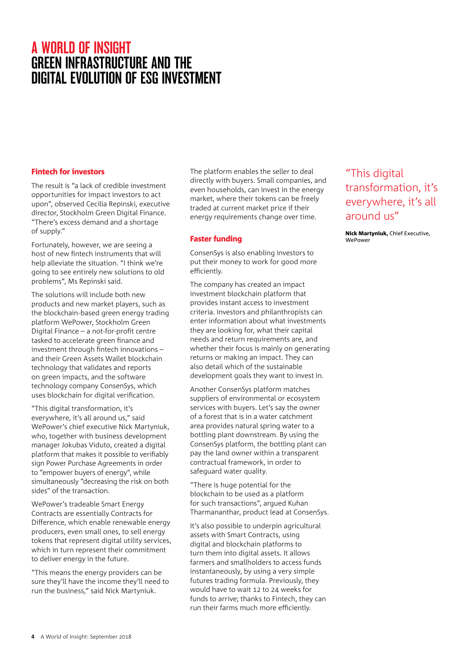### Fintech for investors

The result is "a lack of credible investment opportunities for impact investors to act upon", observed Cecilia Repinski, executive director, Stockholm Green Digital Finance. "There's excess demand and a shortage of supply."

Fortunately, however, we are seeing a host of new fintech instruments that will help alleviate the situation. "I think we're going to see entirely new solutions to old problems", Ms Repinski said.

The solutions will include both new products and new market players, such as the blockchain-based green energy trading platform WePower, Stockholm Green Digital Finance – a not-for-profit centre tasked to accelerate green finance and investment through fintech innovations – and their Green Assets Wallet blockchain technology that validates and reports on green impacts, and the software technology company ConsenSys, which uses blockchain for digital verification.

"This digital transformation, it's everywhere, it's all around us," said WePower's chief executive Nick Martyniuk, who, together with business development manager Jokubas Viduto, created a digital platform that makes it possible to verifiably sign Power Purchase Agreements in order to "empower buyers of energy", while simultaneously "decreasing the risk on both sides" of the transaction.

WePower's tradeable Smart Energy Contracts are essentially Contracts for Difference, which enable renewable energy producers, even small ones, to sell energy tokens that represent digital utility services, which in turn represent their commitment to deliver energy in the future.

"This means the energy providers can be sure they'll have the income they'll need to run the business," said Nick Martyniuk.

The platform enables the seller to deal directly with buyers. Small companies, and even households, can invest in the energy market, where their tokens can be freely traded at current market price if their energy requirements change over time.

### Faster funding

ConsenSys is also enabling investors to put their money to work for good more efficiently.

The company has created an impact investment blockchain platform that provides instant access to investment criteria. Investors and philanthropists can enter information about what investments they are looking for, what their capital needs and return requirements are, and whether their focus is mainly on generating returns or making an impact. They can also detail which of the sustainable development goals they want to invest in.

Another ConsenSys platform matches suppliers of environmental or ecosystem services with buyers. Let's say the owner of a forest that is in a water catchment area provides natural spring water to a bottling plant downstream. By using the ConsenSys platform, the bottling plant can pay the land owner within a transparent contractual framework, in order to safeguard water quality.

"There is huge potential for the blockchain to be used as a platform for such transactions", argued Kuhan Tharmananthar, product lead at ConsenSys.

It's also possible to underpin agricultural assets with Smart Contracts, using digital and blockchain platforms to turn them into digital assets. It allows farmers and smallholders to access funds instantaneously, by using a very simple futures trading formula. Previously, they would have to wait 12 to 24 weeks for funds to arrive; thanks to Fintech, they can run their farms much more efficiently.

## "This digital transformation, it's everywhere, it's all around us"

Nick Martyniuk, Chief Executive, **WePower**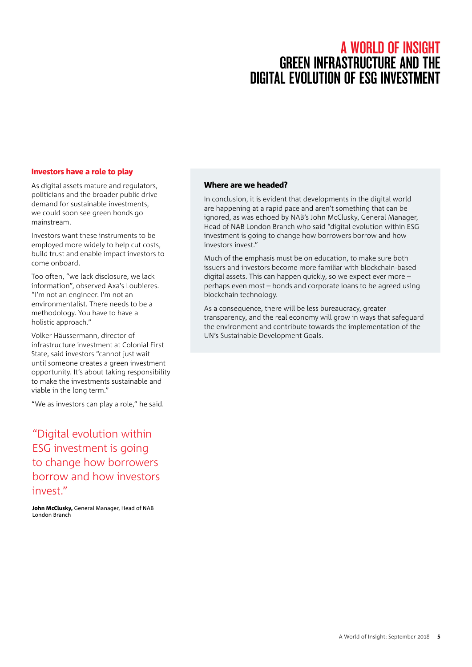# A WORLD OF INSIGHT **GREEN INFRASTRUCTURE AND THE** digital evolution OF ESG INVESTMENT

### Investors have a role to play

As digital assets mature and regulators, politicians and the broader public drive demand for sustainable investments, we could soon see green bonds go mainstream.

Investors want these instruments to be employed more widely to help cut costs, build trust and enable impact investors to come onboard.

Too often, "we lack disclosure, we lack information", observed Axa's Loubieres. "I'm not an engineer. I'm not an environmentalist. There needs to be a methodology. You have to have a holistic approach."

Volker Häussermann, director of infrastructure investment at Colonial First State, said investors "cannot just wait until someone creates a green investment opportunity. It's about taking responsibility to make the investments sustainable and viable in the long term."

"We as investors can play a role," he said.

"Digital evolution within ESG investment is going to change how borrowers borrow and how investors invest"

John McClusky, General Manager, Head of NAB London Branch

### Where are we headed?

In conclusion, it is evident that developments in the digital world are happening at a rapid pace and aren't something that can be ignored, as was echoed by NAB's John McClusky, General Manager, Head of NAB London Branch who said "digital evolution within ESG investment is going to change how borrowers borrow and how investors invest."

Much of the emphasis must be on education, to make sure both issuers and investors become more familiar with blockchain-based digital assets. This can happen quickly, so we expect ever more – perhaps even most – bonds and corporate loans to be agreed using blockchain technology.

As a consequence, there will be less bureaucracy, greater transparency, and the real economy will grow in ways that safeguard the environment and contribute towards the implementation of the UN's Sustainable Development Goals.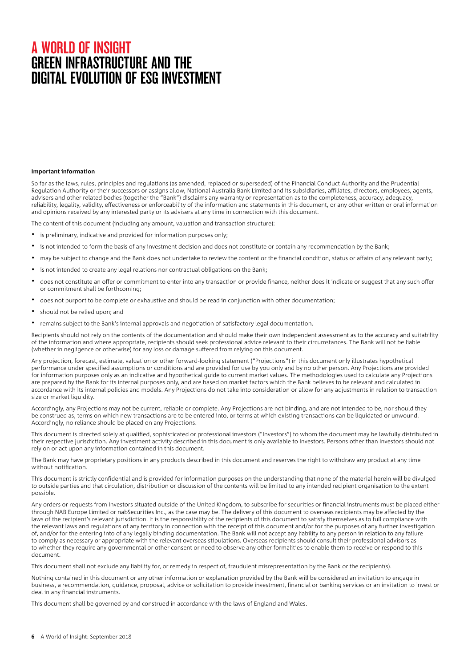### **Important information**

So far as the laws, rules, principles and regulations (as amended, replaced or superseded) of the Financial Conduct Authority and the Prudential Regulation Authority or their successors or assigns allow, National Australia Bank Limited and its subsidiaries, affiliates, directors, employees, agents, advisers and other related bodies (together the "Bank") disclaims any warranty or representation as to the completeness, accuracy, adequacy, reliability, legality, validity, effectiveness or enforceability of the information and statements in this document, or any other written or oral information and opinions received by any interested party or its advisers at any time in connection with this document.

The content of this document (including any amount, valuation and transaction structure):

- is preliminary, indicative and provided for information purposes only;
- is not intended to form the basis of any investment decision and does not constitute or contain any recommendation by the Bank;
- may be subject to change and the Bank does not undertake to review the content or the financial condition, status or affairs of any relevant party;
- is not intended to create any legal relations nor contractual obligations on the Bank;
- does not constitute an offer or commitment to enter into any transaction or provide finance, neither does it indicate or suggest that any such offer or commitment shall be forthcoming;
- does not purport to be complete or exhaustive and should be read in conjunction with other documentation;
- should not be relied upon; and
- • remains subject to the Bank's internal approvals and negotiation of satisfactory legal documentation.

Recipients should not rely on the contents of the documentation and should make their own independent assessment as to the accuracy and suitability of the information and where appropriate, recipients should seek professional advice relevant to their circumstances. The Bank will not be liable (whether in negligence or otherwise) for any loss or damage suffered from relying on this document.

Any projection, forecast, estimate, valuation or other forward-looking statement ("Projections") in this document only illustrates hypothetical performance under specified assumptions or conditions and are provided for use by you only and by no other person. Any Projections are provided for information purposes only as an indicative and hypothetical guide to current market values. The methodologies used to calculate any Projections are prepared by the Bank for its internal purposes only, and are based on market factors which the Bank believes to be relevant and calculated in accordance with its internal policies and models. Any Projections do not take into consideration or allow for any adjustments in relation to transaction size or market liquidity.

Accordingly, any Projections may not be current, reliable or complete. Any Projections are not binding, and are not intended to be, nor should they be construed as, terms on which new transactions are to be entered into, or terms at which existing transactions can be liquidated or unwound. Accordingly, no reliance should be placed on any Projections.

This document is directed solely at qualified, sophisticated or professional investors ("Investors") to whom the document may be lawfully distributed in their respective jurisdiction. Any investment activity described in this document is only available to Investors. Persons other than Investors should not rely on or act upon any information contained in this document.

The Bank may have proprietary positions in any products described in this document and reserves the right to withdraw any product at any time without notification.

This document is strictly confidential and is provided for information purposes on the understanding that none of the material herein will be divulged to outside parties and that circulation, distribution or discussion of the contents will be limited to any intended recipient organisation to the extent possible.

Any orders or requests from Investors situated outside of the United Kingdom, to subscribe for securities or financial instruments must be placed either through NAB Europe Limited or nabSecurities Inc., as the case may be. The delivery of this document to overseas recipients may be affected by the laws of the recipient's relevant jurisdiction. It is the responsibility of the recipients of this document to satisfy themselves as to full compliance with the relevant laws and regulations of any territory in connection with the receipt of this document and/or for the purposes of any further investigation of, and/or for the entering into of any legally binding documentation. The Bank will not accept any liability to any person in relation to any failure to comply as necessary or appropriate with the relevant overseas stipulations. Overseas recipients should consult their professional advisors as to whether they require any governmental or other consent or need to observe any other formalities to enable them to receive or respond to this document.

This document shall not exclude any liability for, or remedy in respect of, fraudulent misrepresentation by the Bank or the recipient(s).

Nothing contained in this document or any other information or explanation provided by the Bank will be considered an invitation to engage in business, a recommendation, guidance, proposal, advice or solicitation to provide investment, financial or banking services or an invitation to invest or deal in any financial instruments.

This document shall be governed by and construed in accordance with the laws of England and Wales.